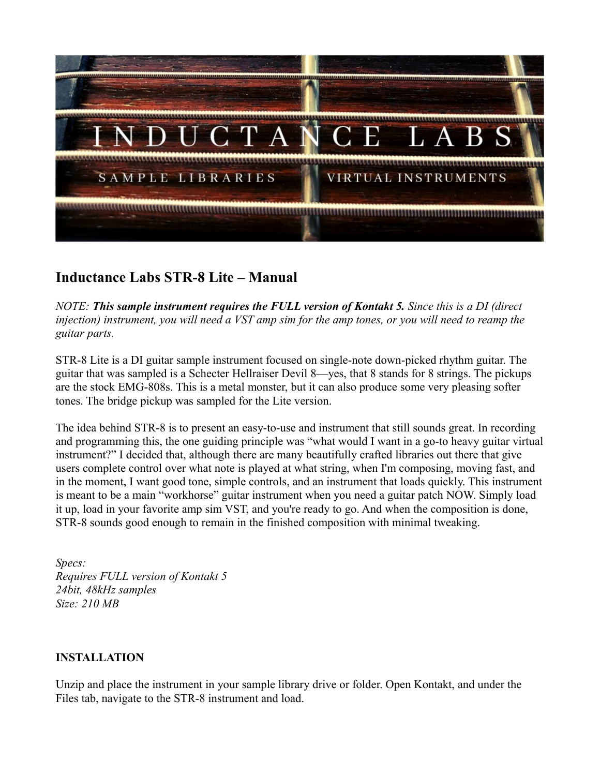

## **Inductance Labs STR-8 Lite – Manual**

*NOTE: This sample instrument requires the FULL version of Kontakt 5. Since this is a DI (direct injection) instrument, you will need a VST amp sim for the amp tones, or you will need to reamp the guitar parts.* 

STR-8 Lite is a DI guitar sample instrument focused on single-note down-picked rhythm guitar. The guitar that was sampled is a Schecter Hellraiser Devil 8—yes, that 8 stands for 8 strings. The pickups are the stock EMG-808s. This is a metal monster, but it can also produce some very pleasing softer tones. The bridge pickup was sampled for the Lite version.

The idea behind STR-8 is to present an easy-to-use and instrument that still sounds great. In recording and programming this, the one guiding principle was "what would I want in a go-to heavy guitar virtual instrument?" I decided that, although there are many beautifully crafted libraries out there that give users complete control over what note is played at what string, when I'm composing, moving fast, and in the moment, I want good tone, simple controls, and an instrument that loads quickly. This instrument is meant to be a main "workhorse" guitar instrument when you need a guitar patch NOW. Simply load it up, load in your favorite amp sim VST, and you're ready to go. And when the composition is done, STR-8 sounds good enough to remain in the finished composition with minimal tweaking.

*Specs: Requires FULL version of Kontakt 5 24bit, 48kHz samples Size: 210 MB*

## **INSTALLATION**

Unzip and place the instrument in your sample library drive or folder. Open Kontakt, and under the Files tab, navigate to the STR-8 instrument and load.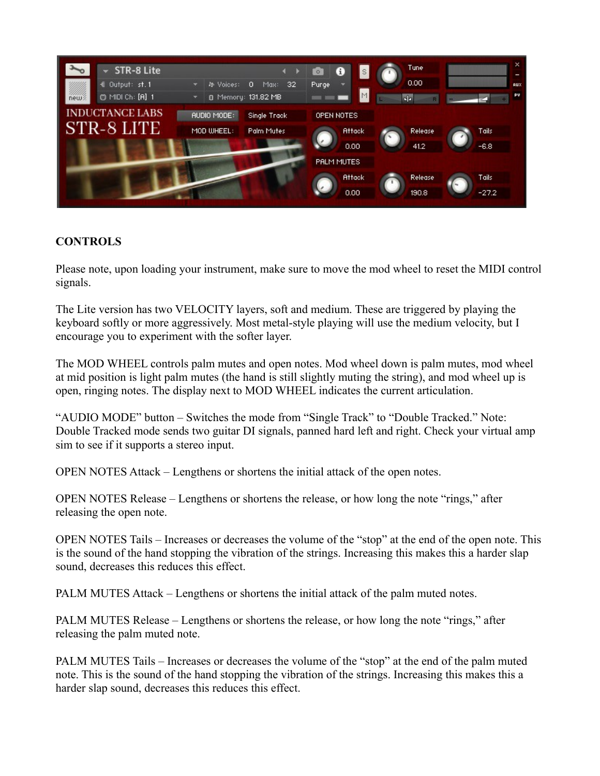

## **CONTROLS**

Please note, upon loading your instrument, make sure to move the mod wheel to reset the MIDI control signals.

The Lite version has two VELOCITY layers, soft and medium. These are triggered by playing the keyboard softly or more aggressively. Most metal-style playing will use the medium velocity, but I encourage you to experiment with the softer layer.

The MOD WHEEL controls palm mutes and open notes. Mod wheel down is palm mutes, mod wheel at mid position is light palm mutes (the hand is still slightly muting the string), and mod wheel up is open, ringing notes. The display next to MOD WHEEL indicates the current articulation.

"AUDIO MODE" button – Switches the mode from "Single Track" to "Double Tracked." Note: Double Tracked mode sends two guitar DI signals, panned hard left and right. Check your virtual amp sim to see if it supports a stereo input.

OPEN NOTES Attack – Lengthens or shortens the initial attack of the open notes.

OPEN NOTES Release – Lengthens or shortens the release, or how long the note "rings," after releasing the open note.

OPEN NOTES Tails – Increases or decreases the volume of the "stop" at the end of the open note. This is the sound of the hand stopping the vibration of the strings. Increasing this makes this a harder slap sound, decreases this reduces this effect.

PALM MUTES Attack – Lengthens or shortens the initial attack of the palm muted notes.

PALM MUTES Release – Lengthens or shortens the release, or how long the note "rings," after releasing the palm muted note.

PALM MUTES Tails – Increases or decreases the volume of the "stop" at the end of the palm muted note. This is the sound of the hand stopping the vibration of the strings. Increasing this makes this a harder slap sound, decreases this reduces this effect.